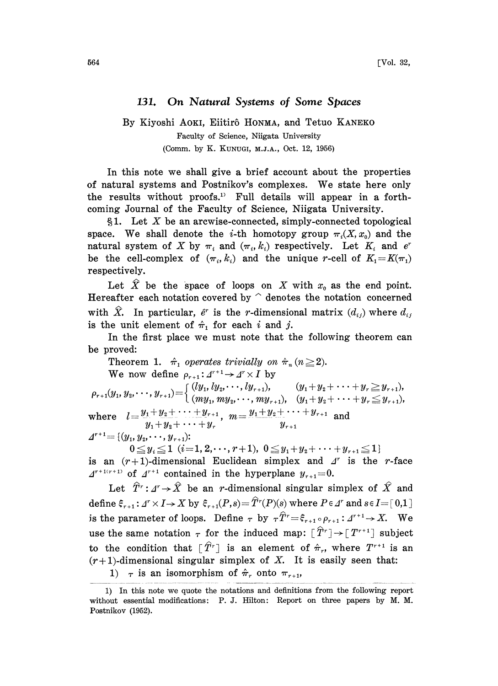## 131. On Natural Systems of Some Spaces

## By Kiyoshi AOKI, Eiitirô HONMA, and Tetuo KANEKO Faculty of Science, Niigata University (Comm. by K. KUNUGI, M.J.A., Oct. 12, 1956)

In this note we shall give a brief account about the properties of natural systems and Postnikov's complexes. We state here only the results without proofs.<sup>1</sup> Full details will appear in a forthcoming Journal of the Faculty of Science, Niigata University.

§1. Let  $X$  be an arcwise-connected, simply-connected topological space. We shall denote the *i*-th homotopy group  $\pi_i(X, x_0)$  and the natural system of X by  $\pi_i$  and  $(\pi_i, k_i)$  respectively. Let  $K_i$  and  $e^r$ be the cell-complex of  $(\pi_i, k_i)$  and the unique r-cell of  $K_1=K(\pi_1)$ respectively.

Let  $\hat{X}$  be the space of loops on X with  $x_0$  as the end point. Hereafter each notation covered by  $\hat{ }$  denotes the notation concerned with  $\hat{X}$ . In particular,  $\hat{e}^r$  is the r-dimensional matrix  $(d_{ij})$  where  $d_{ij}$ is the unit element of  $\hat{\pi}_1$  for each i and j.

In the first place we must note that the following theorem can be proved:

Theorem 1.  $\hat{\pi}_1$  operates trivially on  $\hat{\pi}_n$  ( $n\geq 2$ ). We now define  $\rho_{r+1}: \mathcal{A}^{r+1} \to \mathcal{A}^r \times I$  by  $(ly_1, ly_2, \cdots, ly_{r+1}), \qquad (y_1 + y_2 + \cdots + y_r \geq y_{r+1}),$  $p_{r+1}(y_1, y_2, \dots, y_{r+1}) = \begin{cases} (my_1, my_2, \dots, my_{r+1}), & (y_1+y_2+\dots+y_r \leq y_{r+1}), \end{cases}$ where  $l = \frac{y_1 + y_2 + \cdots + y_{r+1}}{y_r + y_{r+1}}$ ,  $m = \frac{y_1 + y_2 + \cdots + y_{r+1}}{y_r + y_{r+1}}$  and  $y_1 + y_2 + \cdots + y_r$  $\mathcal{A}^{r+1} = \{ (y_1, y_2, \cdots, y_{r+1}) :$  $0 \leq y_i \leq 1$   $(i=1, 2, \dots, r+1), 0 \leq y_1+y_2+\dots+y_{r+1} \leq 1$ 

is an  $(r+1)$ -dimensional Euclidean simplex and  $\Delta^r$  is the *r*-face  $\Delta^{r+1(r+1)}$  of  $\Delta^{r+1}$  contained in the hyperplane  $y_{r+1}=0$ .

Let  $\hat{T}^r: A^r \rightarrow \hat{X}$  be an r-dimensional singular simplex of  $\hat{X}$  and define  $\xi_{r+1}$ :  $\Delta^r \times I \to X$  by  $\xi_{r+1}(P,s) = \hat{T}^r(P)(s)$  where  $P \in \Delta^r$  and  $s \in I = [0,1]$ is the parameter of loops. Define  $\tau$  by  $\tau \hat{T}^r = \hat{\xi}_{r+1} \circ \rho_{r+1} : \Delta^{r+1} \to X$ . We use the same notation  $\tau$  for the induced map:  $[\hat{T}^r] \rightarrow [T^{r+1}]$  subject<br>to the condition that  $[\hat{T}^r]$  is an element of  $\hat{\pi}_r$ , where  $T^{r+1}$  is an  $(r+1)$ -dimensional singular simplex of X. It is easily seen that: 1)  $\tau$  is an isomorphism of  $\hat{\pi}_r$  onto  $\pi_{r+1}$ ,

<sup>1)</sup> In this note we quote the notations and definitions from the following report without essential modifications: P. J. Hilton: Report on three papers by M. M. Postnikov (1952).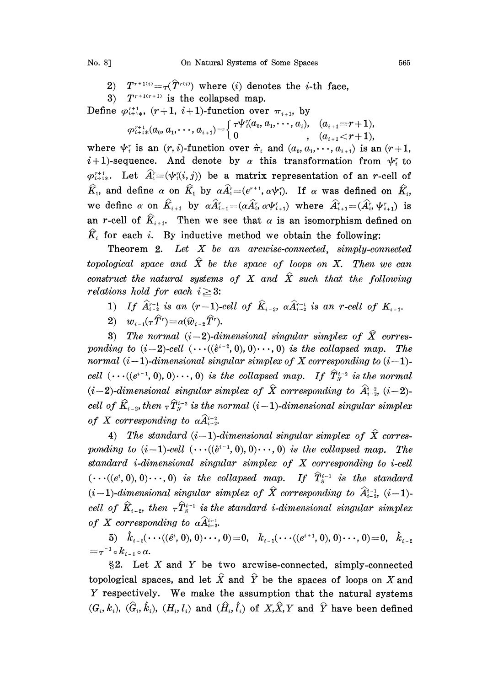- 2)  $T^{r+1(i)} = \tau(\hat{T}^{r(i)})$  where (i) denotes the *i*-th face,
- 3)  $T^{r+1(r+1)}$  is the collapsed map.
- Define  $\varphi_{i+1}^{r+1}$ ,  $(r+1, i+1)$ -function over  $\pi_{i+1}$ , by

$$
\varphi_{i+1*}^{r+1}(a_0,a_1,\dots,a_{i+1}) = \begin{cases} \tau \psi_i^r(a_0,a_1,\dots,a_i), & (a_{i+1}=r+1), \\ 0 & , (a_{i+1}
$$

where  $\psi_i^r$  is an  $(r, i)$ -function over  $\hat{\pi}_i$  and  $(a_0, a_1, \dots, a_{i+1})$  is an  $(r+1,$  $i+1$ )-sequence. And denote by  $\alpha$  this transformation from  $\psi_i^r$  to  $\varphi_{i+1}^{r+1}$ . Let  $\hat{A}_1^r = (\psi_1^r(i,j))$  be a matrix representation of an r-cell of  $\hat{K}_1$ , and define  $\alpha$  on  $\hat{K}_1$  by  $\alpha \hat{A}_1^{\dagger} = (e^{\gamma+1}, \alpha \psi_1^{\dagger})$ . If  $\alpha$  was defined on  $\hat{K}_i$ , we define  $\alpha$  on  $\hat{K}_{i+1}$  by  $\alpha \hat{A}_{i+1}^r = (\alpha \hat{A}_{i}^r, \alpha \psi_{i+1}^r)$  where  $\hat{A}_{i+1}^r = (\hat{A}_{i}^r, \psi_{i+1}^r)$  is an r-cell of  $\hat{K}_{i+1}$ . Then we see that  $\alpha$  is an isomorphism defined on  $\hat{K}_i$  for each i. By inductive method we obtain the following:

Theorem 2. Let X be an arcwise-connected, simply-connected topological space and  $\hat{X}$  be the space of loops on X. Then we can construct the natural systems of X and  $\hat{X}$  such that the following relations hold for each  $i \geq 3$ :

- 1) If  $\hat{A}_{i-2}^{r-1}$  is an  $(r-1)$ -cell of  $\hat{K}_{i-2}$ ,  $\alpha \hat{A}_{i-2}^{r-1}$  is an r-cell of  $K_{i-1}$ .<br>2)  $w_{i-1}(\tau \hat{T}^r) = \alpha(\hat{w}_{i-1}, \hat{T}^r)$
- 2)  $w_{i-1}(\tau \hat{T}^r) = \alpha(\hat{w}_{i-2} \hat{T}^r)$ .

3) The normal  $(i-2)$ -dimensional singular simplex of  $\hat{X}$  corresponding to  $(i-2)$ -cell  $(\cdots((\hat{e}^{i-2}, 0), 0) \cdots, 0)$  is the collapsed map. The normal  $(i-1)$ -dimensional singular simplex of X corresponding to  $(i-1)$ -<br>cell  $(\cdots((e^{i-1}, 0), 0) \cdots, 0)$  is the collapsed map. If  $\hat{T}_{N}^{i-2}$  is the normal cell  $(\cdots ((e^{i-1}, 0), 0) \cdots, 0)$  is the collapsed map. If  $T_N^{i-2}$  is the normal  $(i-2)$ -dimensional singular simplex of  $\hat{X}$  corresponding to  $\hat{A}_{i-2}^{i-2}$ ,  $(i-2)$ -<br>cell of  $\hat{K}_{i-2}$ , then  $\tau \hat{T}_N^{i-2}$  is the nor cell of  $\hat{K}_{i-2}$ , then  $\tau \hat{T}_{N}^{i-2}$  is the normal (i-1)-dimensional singular simplex of X corresponding to  $\alpha \widehat{A}^{i-2}_{i-2}$ .

4) The standard  $(i-1)$ -dimensional singular simplex of  $\hat{X}$  corresponding to  $(i-1)$ -cell  $(\cdots((\hat{e}^{i-1}, 0), 0) \cdots, 0)$  is the collapsed map. The standard i-dimensional singular simplex of X corresponding to i-cell  $(\cdots((e^i, 0), 0) \cdots, 0)$  is the collapsed map. If  $\hat{T}_{S}^{i-1}$  is the standard  $(i-1)$ -dimensional singular simplex of  $\hat{X}$  corresponding to  $\hat{A}_{i-2}^{i-1}$ ,  $(i-1)$ cell of  $\hat{K}_{i-2}$ , then  $\tau \hat{T}_{S}^{i-1}$  is the standard *i*-dimensional singular simplex of X corresponding to  $\alpha \widehat{A}_{i-2}^{i-1}$ .

5)  $\hat{k}_{i-2}(\cdots((\hat{e}^i, 0), 0) \cdots, 0) = 0, \quad k_{i-1}(\cdots((e^{i+1}, 0), 0) \cdots, 0) = 0, \quad \hat{k}_{i-2}$  $=\tau^{-1}\circ k_{i-1}\circ\alpha.$ 

 $\S2$ . Let X and Y be two arcwise-connected, simply-connected topological spaces, and let  $\hat{X}$  and  $\hat{Y}$  be the spaces of loops on X and Y respectively. We make the assumption that the natural systems  $(G_i, k_i)$ ,  $(\hat{G}_i, \hat{k}_i)$ ,  $(H_i, l_i)$  and  $(\hat{H}_i, \hat{l}_i)$  of  $X, \hat{X}, Y$  and  $\hat{Y}$  have been defined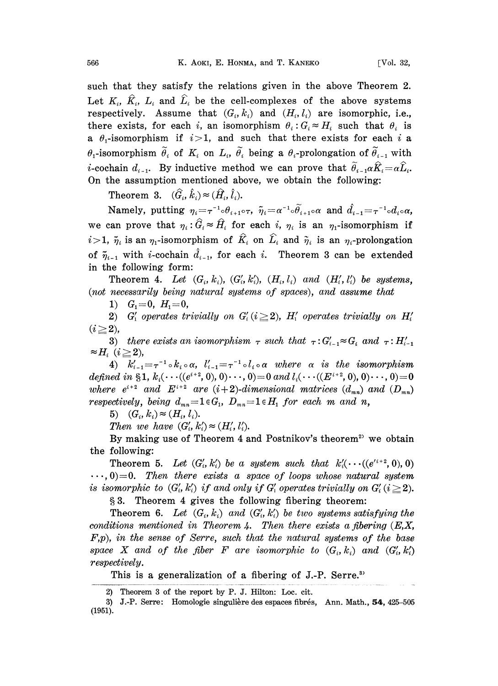such that they satisfy the relations given in the above Theorem 2. Let  $K_i$ ,  $\hat{K}_i$ ,  $L_i$  and  $\hat{L}_i$  be the cell-complexes of the above systems respectively. Assume that  $(G_i, k_i)$  and  $(H_i, l_i)$  are isomorphic, i.e., there exists, for each i, an isomorphism  $\theta_i: G_i \approx H_i$  such that  $\theta_i$  is a  $\theta_1$ -isomorphism if  $i>1$ , and such that there exists for each i a  $\theta_1$ -isomorphism  $\tilde{\theta}_i$  of  $K_i$  on  $L_i$ ,  $\tilde{\theta}_i$  being a  $\theta_i$ -prolongation of  $\tilde{\theta}_{i-1}$  with *i*-cochain  $d_{i-1}$ . By inductive method we can prove that  $\tilde{\theta}_{i-1}\alpha\hat{K}_i=\alpha\hat{L}_i$ . On the assumption mentioned above, we obtain the following:

Theorem 3.  $(\widehat{G}_i, \widehat{k}_i) \approx (\widehat{H}_i, \widehat{l}_i).$ 

Namely, putting  $\eta_i = \tau^{-1} \circ \theta_{i+1} \circ \tau$ ,  $\tilde{\eta}_i = \alpha^{-1} \circ \tilde{\theta}_{i+1} \circ \alpha$  and  $\hat{d}_{i-1} = \tau^{-1} \circ d_i \circ \alpha$ . we can prove that  $\eta_i : \hat{G}_i \approx \hat{H}_i$  for each i,  $\eta_i$  is an  $\eta_1$ -isomorphism if  $i>1$ ,  $\tilde{\eta}_i$  is an  $\eta_1$ -isomorphism of  $\hat{K}_i$  on  $\hat{L}_i$  and  $\tilde{\eta}_i$  is an  $\eta_i$ -prolongation we can prove that  $\eta_i : \hat{G}_i \approx \hat{H}_i$  for each  $i$ ,  $\eta_i$  is an  $\eta_1$ -isomorphism if  $i>1$ ,  $\tilde{\eta}_i$  is an  $\eta_1$ -isomorphism of  $\hat{K}_i$  on  $\hat{L}_i$  and  $\tilde{\eta}_i$  is an  $\eta_i$ -prolongation of  $\tilde{\eta}_{i-1}$  with *i*-coch in the following form:

Theorem 4. Let  $(G_i, k_i)$ ,  $(G'_i, k'_i)$ ,  $(H_i, l_i)$  and  $(H'_i, l'_i)$  be systems, (not necessarily being natural systems of spaces), and assume that

1)  $G_1=0$ ,  $H_1=0$ ,

2) G<sub>i</sub> operates trivially on  $G_i (i \geq 2)$ ,  $H_i$  operates trivially on  $H_i'$  $(i \geq 2)$ ,

3) there exists an isomorphism  $\tau$  such that  $\tau:G'_{i-1} \approx G_i$  and  $\tau:H'_{i-1}$  $\approx H_i \ \ (i \geq 2),$ 

4)  $k'_{i-1} = \tau^{-1} \circ k_i \circ \alpha$ ,  $l'_{i-1} = \tau^{-1} \circ l_i \circ \alpha$  where  $\alpha$  is the isomorphism defined in §1,  $k_i(\cdots((e^{i+2}, 0), 0) \cdots, 0) = 0$  and  $l_i(\cdots((E^{i+2}, 0), 0) \cdots, 0) = 0$ aennea in  $\mathfrak{sl}, \kappa_i$ (...((e..., 0), 0)..., 0)=0 and  $\iota_i$ (...(( $E^{s+2}$ , 0), 0)..., 0)=0<br>where  $e^{i+2}$  and  $E^{i+2}$  are (i+2)-dimensional matrices ( $d_{mn}$ ) and ( $D_{mn}$ ) respectively, being  $d_{mn} = 1 \in G_1$ ,  $D_{mn} = 1 \in H_1$  for each m and n,

5)  $(G_i, k_i) \approx (H_i, l_i).$ 

Then we have  $(G'_i, k'_i) \approx (H'_i, l'_i).$ 

By making use of Theorem  $4$  and Postnikov's theorem<sup>2</sup> we obtain the following:

Theorem 5. Let  $(G_i', k_i')$  be a system such that  $k_i'(\cdots((e^{i+2}, 0), 0))$  $\cdots$ , 0)=0. Then there exists a space of loops whose natural system is isomorphic to  $(G'_i, k'_i)$  if and only if  $G'_i$  operates trivially on  $G'_i$  ( $i \geq 2$ ).

3. Theorem 4 gives the following fibering theorem:

Theorem 6. Let  $(G_i, k_i)$  and  $(G'_i, k'_i)$  be two systems satisfying the conditions mentioned in Theorem 4. Then there exists a fibering  $(E, X, \mathcal{L})$  $F, p$ , in the sense of Serre, such that the natural systems of the base space X and of the fiber F are isomorphic to  $(G_i, k_i)$  and  $(G'_i, k'_i)$ respectively.

This is a generalization of a fibering of J.-P. Serre.<sup>3</sup>

<sup>2)</sup> Theorem 3 of the report by P. J. Hilton: Loc. cir.

<sup>3)</sup> J.-P. Serre: Homologie singulière des espaces fibrés, Ann. Math.,  $54$ ,  $425-505$ (1951).